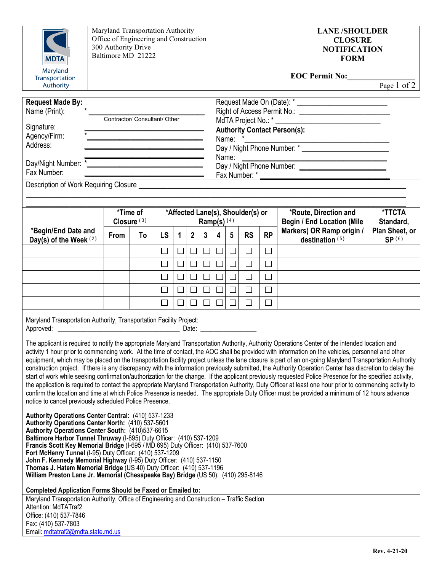| <b>MDTA</b><br>Maryland                                                                                                                                                                                                                                                                                                                                                                                                                                                                                                                                                                                                                                                                                                                                                                                                                                                                                                                                                                                                                                                                                                                                                                                                                                                                                                                                                                                                                                                                                                                                                                                                                                                                                                                                                                                                                                                                                                             | Maryland Transportation Authority<br>Office of Engineering and Construction<br>300 Authority Drive<br>Baltimore MD 21222                                                                                                                                                             |                                    |             |             |             |                |                                                    |                                                                                                                              |             | <b>LANE /SHOULDER</b><br><b>CLOSURE</b><br><b>NOTIFICATION</b><br><b>FORM</b> |                                                            |                          |  |
|-------------------------------------------------------------------------------------------------------------------------------------------------------------------------------------------------------------------------------------------------------------------------------------------------------------------------------------------------------------------------------------------------------------------------------------------------------------------------------------------------------------------------------------------------------------------------------------------------------------------------------------------------------------------------------------------------------------------------------------------------------------------------------------------------------------------------------------------------------------------------------------------------------------------------------------------------------------------------------------------------------------------------------------------------------------------------------------------------------------------------------------------------------------------------------------------------------------------------------------------------------------------------------------------------------------------------------------------------------------------------------------------------------------------------------------------------------------------------------------------------------------------------------------------------------------------------------------------------------------------------------------------------------------------------------------------------------------------------------------------------------------------------------------------------------------------------------------------------------------------------------------------------------------------------------------|--------------------------------------------------------------------------------------------------------------------------------------------------------------------------------------------------------------------------------------------------------------------------------------|------------------------------------|-------------|-------------|-------------|----------------|----------------------------------------------------|------------------------------------------------------------------------------------------------------------------------------|-------------|-------------------------------------------------------------------------------|------------------------------------------------------------|--------------------------|--|
| Transportation<br>Authority                                                                                                                                                                                                                                                                                                                                                                                                                                                                                                                                                                                                                                                                                                                                                                                                                                                                                                                                                                                                                                                                                                                                                                                                                                                                                                                                                                                                                                                                                                                                                                                                                                                                                                                                                                                                                                                                                                         |                                                                                                                                                                                                                                                                                      |                                    |             |             |             |                |                                                    |                                                                                                                              |             |                                                                               | <b>EOC Permit No:</b>                                      | Page 1 of 2              |  |
| <b>Request Made By:</b><br>Name (Print):<br>Signature:<br>Agency/Firm:<br>Address:                                                                                                                                                                                                                                                                                                                                                                                                                                                                                                                                                                                                                                                                                                                                                                                                                                                                                                                                                                                                                                                                                                                                                                                                                                                                                                                                                                                                                                                                                                                                                                                                                                                                                                                                                                                                                                                  | Contractor/ Consultant/ Other<br><u> 1989 - Johann Barn, amerikansk politiker (d. 1989)</u><br><u> 1989 - Johann John Stone, market fan it ferskearre fan it ferskearre fan it ferskearre fan it ferskearre fan</u><br><u> 1980 - Johann Barn, mars an t-Amerikaansk politiker (</u> |                                    |             |             |             |                |                                                    | <b>Authority Contact Person(s):</b><br>Name: *<br>Name:<br>Day / Night Phone Number: *<br>Name:<br>Day / Night Phone Number: |             |                                                                               |                                                            |                          |  |
| Fax Number:                                                                                                                                                                                                                                                                                                                                                                                                                                                                                                                                                                                                                                                                                                                                                                                                                                                                                                                                                                                                                                                                                                                                                                                                                                                                                                                                                                                                                                                                                                                                                                                                                                                                                                                                                                                                                                                                                                                         |                                                                                                                                                                                                                                                                                      |                                    |             |             |             |                |                                                    |                                                                                                                              |             |                                                                               |                                                            |                          |  |
|                                                                                                                                                                                                                                                                                                                                                                                                                                                                                                                                                                                                                                                                                                                                                                                                                                                                                                                                                                                                                                                                                                                                                                                                                                                                                                                                                                                                                                                                                                                                                                                                                                                                                                                                                                                                                                                                                                                                     |                                                                                                                                                                                                                                                                                      |                                    |             |             |             |                |                                                    |                                                                                                                              |             |                                                                               |                                                            |                          |  |
|                                                                                                                                                                                                                                                                                                                                                                                                                                                                                                                                                                                                                                                                                                                                                                                                                                                                                                                                                                                                                                                                                                                                                                                                                                                                                                                                                                                                                                                                                                                                                                                                                                                                                                                                                                                                                                                                                                                                     |                                                                                                                                                                                                                                                                                      | *Time of<br>Closure <sup>(3)</sup> |             |             |             |                | *Affected Lane(s), Shoulder(s) or<br>Ramp(s) $(4)$ |                                                                                                                              |             |                                                                               | *Route, Direction and<br><b>Begin / End Location (Mile</b> | *TTCTA<br>Standard,      |  |
| *Begin/End Date and<br>Day(s) of the Week (2)                                                                                                                                                                                                                                                                                                                                                                                                                                                                                                                                                                                                                                                                                                                                                                                                                                                                                                                                                                                                                                                                                                                                                                                                                                                                                                                                                                                                                                                                                                                                                                                                                                                                                                                                                                                                                                                                                       | From                                                                                                                                                                                                                                                                                 | To                                 | <b>LS</b>   | $\mathbf 1$ | $2^{\circ}$ | 3 <sup>1</sup> | $\overline{\mathbf{4}}$                            | $5\overline{)}$                                                                                                              | <b>RS</b>   | <b>RP</b>                                                                     | Markers) OR Ramp origin /<br>destination (5)               | Plan Sheet, or<br>SP (6) |  |
|                                                                                                                                                                                                                                                                                                                                                                                                                                                                                                                                                                                                                                                                                                                                                                                                                                                                                                                                                                                                                                                                                                                                                                                                                                                                                                                                                                                                                                                                                                                                                                                                                                                                                                                                                                                                                                                                                                                                     |                                                                                                                                                                                                                                                                                      |                                    | $\Box$      | $\Box$      | $\Box$      | $\Box$         | $\Box$                                             | $\Box$                                                                                                                       | $\Box$      | $\Box$                                                                        |                                                            |                          |  |
|                                                                                                                                                                                                                                                                                                                                                                                                                                                                                                                                                                                                                                                                                                                                                                                                                                                                                                                                                                                                                                                                                                                                                                                                                                                                                                                                                                                                                                                                                                                                                                                                                                                                                                                                                                                                                                                                                                                                     |                                                                                                                                                                                                                                                                                      |                                    | $\Box$      |             | $\Box$      |                |                                                    | $\Box$                                                                                                                       | $\Box$      | $\Box$                                                                        |                                                            |                          |  |
|                                                                                                                                                                                                                                                                                                                                                                                                                                                                                                                                                                                                                                                                                                                                                                                                                                                                                                                                                                                                                                                                                                                                                                                                                                                                                                                                                                                                                                                                                                                                                                                                                                                                                                                                                                                                                                                                                                                                     |                                                                                                                                                                                                                                                                                      |                                    | $\Box$      |             | $\Box$      |                |                                                    | $\Box$                                                                                                                       | $\Box$      | $\Box$                                                                        |                                                            |                          |  |
|                                                                                                                                                                                                                                                                                                                                                                                                                                                                                                                                                                                                                                                                                                                                                                                                                                                                                                                                                                                                                                                                                                                                                                                                                                                                                                                                                                                                                                                                                                                                                                                                                                                                                                                                                                                                                                                                                                                                     |                                                                                                                                                                                                                                                                                      |                                    | $\Box$<br>П |             |             |                |                                                    | $\Box$                                                                                                                       | $\Box$<br>П | $\Box$<br>$\Box$                                                              |                                                            |                          |  |
| Maryland Transportation Authority, Transportation Facility Project:<br>The applicant is required to notify the appropriate Maryland Transportation Authority, Authority Operations Center of the intended location and<br>activity 1 hour prior to commencing work. At the time of contact, the AOC shall be provided with information on the vehicles, personnel and other<br>equipment, which may be placed on the transportation facility project unless the lane closure is part of an on-going Maryland Transportation Authority<br>construction project. If there is any discrepancy with the information previously submitted, the Authority Operation Center has discretion to delay the<br>start of work while seeking confirmation/authorization for the change. If the applicant previously requested Police Presence for the specified activity,<br>the application is required to contact the appropriate Maryland Transportation Authority, Duty Officer at least one hour prior to commencing activity to<br>confirm the location and time at which Police Presence is needed. The appropriate Duty Officer must be provided a minimum of 12 hours advance<br>notice to cancel previously scheduled Police Presence.<br>Authority Operations Center Central: (410) 537-1233<br>Authority Operations Center North: (410) 537-5601<br>Authority Operations Center South: (410)537-6615<br>Baltimore Harbor Tunnel Thruway (I-895) Duty Officer: (410) 537-1209<br>Francis Scott Key Memorial Bridge (I-695 / MD 695) Duty Officer: (410) 537-7600<br>Fort McHenry Tunnel (I-95) Duty Officer: (410) 537-1209<br>John F. Kennedy Memorial Highway (I-95) Duty Officer: (410) 537-1150<br>Thomas J. Hatem Memorial Bridge (US 40) Duty Officer: (410) 537-1196<br>William Preston Lane Jr. Memorial (Chesapeake Bay) Bridge (US 50): (410) 295-8146<br><b>Completed Application Forms Should be Faxed or Emailed to:</b> |                                                                                                                                                                                                                                                                                      |                                    |             |             |             |                |                                                    |                                                                                                                              |             |                                                                               |                                                            |                          |  |
| Maryland Transportation Authority, Office of Engineering and Construction - Traffic Section<br>Attention: MdTATraf2<br>Office: (410) 537-7846<br>Fax: (410) 537-7803<br>Email: mdtatraf2@mdta.state.md.us                                                                                                                                                                                                                                                                                                                                                                                                                                                                                                                                                                                                                                                                                                                                                                                                                                                                                                                                                                                                                                                                                                                                                                                                                                                                                                                                                                                                                                                                                                                                                                                                                                                                                                                           |                                                                                                                                                                                                                                                                                      |                                    |             |             |             |                |                                                    |                                                                                                                              |             |                                                                               |                                                            |                          |  |